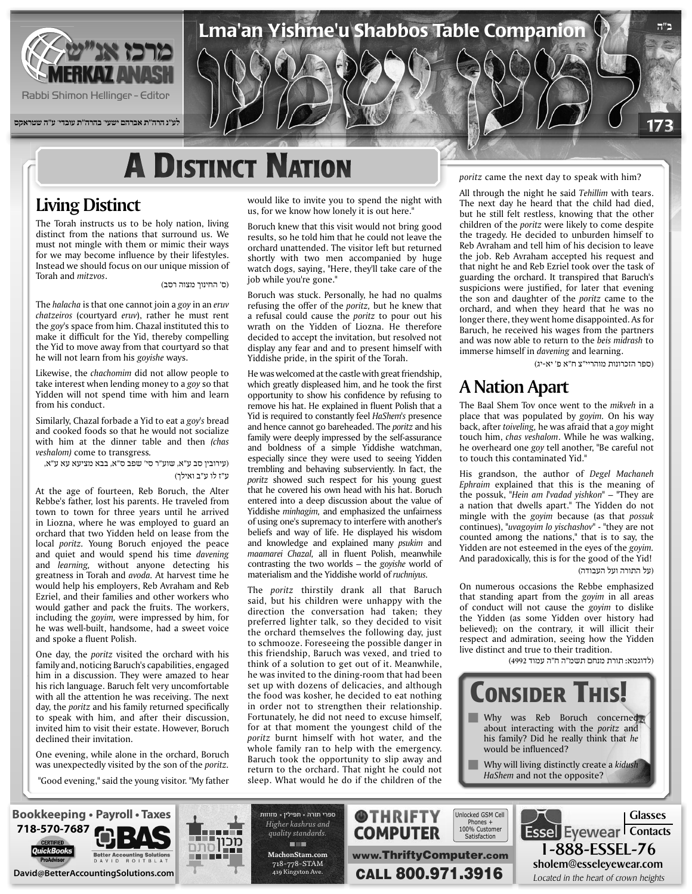

**לע"נ הרה"ת אברהם ישעי' בהרה"ת עובדי' ע"ה שטראקס**

## **A DISTINCT NATION**

#### **Living Distinct**

The Torah instructs us to be holy nation, living distinct from the nations that surround us. We must not mingle with them or mimic their ways for we may become influence by their lifestyles. Instead we should focus on our unique mission of (ס' החינוך מצוה רסב) .*m*itz*vos* and *mitzvos* (ס' החינוך מצוה רסב)

The *halacha* is that one cannot join a *goy* in an *eruv chatzeiros* (courtyard *eruv*), rather he must rent the goy's space from him. Chazal instituted this to make it difficult for the Yid, thereby compelling the Yid to move away from that courtyard so that he will not learn from his *goyishe* ways.

Likewise, the *chachomim* did not allow people to take interest when lending money to a goy so that Yidden will not spend time with him and learn from his conduct.

Similarly, Chazal forbade a Yid to eat a goy's bread and cooked foods so that he would not socialize with him at the dinner table and then (chas *veshalom)* come to transgress.

(עירובין סב ע"א, שוע"ר סי' שפב ס"א, בבא מציעא עא ע"א, ע"ז לו ע"ב ואילך)

At the age of fourteen, Reb Boruch, the Alter Rebbe's father, lost his parents. He traveled from town to town for three years until he arrived in Liozna, where he was employed to guard an orchard that two Yidden held on lease from the local *poritz*. Young Boruch enjoyed the peace and quiet and would spend his time *davening* and *learning*, without anyone detecting his greatness in Torah and avoda. At harvest time he would help his employers, Reb Avraham and Reb Ezriel, and their families and other workers who would gather and pack the fruits. The workers, including the *goyim*, were impressed by him, for he was well-built, handsome, had a sweet voice and spoke a fluent Polish.

One day, the *poritz* visited the orchard with his family and, noticing Baruch's capabilities, engaged him in a discussion. They were amazed to hear his rich language. Baruch felt very uncomfortable with all the attention he was receiving. The next day, the *poritz* and his family returned specifically to speak with him, and after their discussion, invited him to visit their estate. However, Boruch declined their invitation.

One evening, while alone in the orchard, Boruch was unexpectedly visited by the son of the *poritz*.

"Good evening," said the young visitor. "My father

would like to invite you to spend the night with us, for we know how lonely it is out here."

Lma'an Yishme'u Shabbos Table Companion

Boruch knew that this visit would not bring good results, so he told him that he could not leave the orchard unattended. The visitor left but returned shortly with two men accompanied by huge watch dogs, saying, "Here, they'll take care of the job while you're gone."

Boruch was stuck. Personally, he had no qualms refusing the offer of the *poritz*, but he knew that a refusal could cause the *poritz* to pour out his wrath on the Yidden of Liozna. He therefore decided to accept the invitation, but resolved not display any fear and and to present himself with Yiddishe pride, in the spirit of the Torah.

He was welcomed at the castle with great friendship, which greatly displeased him, and he took the first opportunity to show his confidence by refusing to remove his hat. He explained in fluent Polish that a Yid is required to constantly feel HaShem's presence and hence cannot go bareheaded. The *poritz* and his family were deeply impressed by the self-assurance and boldness of a simple Yiddishe watchman, especially since they were used to seeing Yidden trembling and behaving subserviently. In fact, the poritz showed such respect for his young guest that he covered his own head with his hat. Boruch entered into a deep discussion about the value of Yiddishe *minhagim*, and emphasized the unfairness of using one's supremacy to interfere with another's beliefs and way of life. He displayed his wisdom and knowledge and explained many *psukim* and maamarei Chazal, all in fluent Polish, meanwhile contrasting the two worlds – the *goyishe* world of materialism and the Yiddishe world of *ruchniyus*.

The *poritz* thirstily drank all that Baruch said, but his children were unhappy with the direction the conversation had taken: they preferred lighter talk, so they decided to visit the orchard themselves the following day, just to schmooze. Foreseeing the possible danger in this friendship, Baruch was vexed, and tried to think of a solution to get out of it. Meanwhile, he was invited to the dining-room that had been set up with dozens of delicacies, and although the food was kosher, he decided to eat nothing in order not to strengthen their relationship. Fortunately, he did not need to excuse himself, for at that moment the youngest child of the poritz burnt himself with hot water, and the whole family ran to help with the emergency. Baruch took the opportunity to slip away and return to the orchard. That night he could not sleep. What would he do if the children of the

poritz came the next day to speak with him?

All through the night he said Tehillim with tears. The next day he heard that the child had died, but he still felt restless, knowing that the other children of the *poritz* were likely to come despite the tragedy. He decided to unburden himself to Reb Avraham and tell him of his decision to leave the job. Reb Avraham accepted his request and that night he and Reb Ezriel took over the task of guarding the orchard. It transpired that Baruch's suspicions were justified, for later that evening the son and daughter of the *poritz* came to the orchard, and when they heard that he was no longer there, they went home disappointed. As for Baruch, he received his wages from the partners and was now able to return to the beis midrash to immerse himself in *davening* and learning.

(ספר הזכרונות מוהריי"צ ח"א פ' יא-יג)

**ב"ה**

173

#### **A Nation Apart**

The Baal Shem Tov once went to the *mikveh* in a place that was populated by goyim. On his way back, after *toiveling*, he was afraid that a *goy* might touch him, *chas veshalom*. While he was walking, he overheard one goy tell another, "Be careful not to touch this contaminated Yid."

His grandson, the author of Degel Machaneh Ephraim explained that this is the meaning of the possuk, "*Hein am I*'vadad yishkon" – "They are a nation that dwells apart." The Yidden do not mingle with the *goyim* because (as that *possuk* continues), "*uvagoyim lo yischashov*" - "they are not counted among the nations," that is to say, the Yidden are not esteemed in the eyes of the *goyim*. And paradoxically, this is for the good of the Yid! (על התורה ועל העבודה)

On numerous occasions the Rebbe emphasized that standing apart from the goyim in all areas of conduct will not cause the *goyim* to dislike the Yidden (as some Yidden over history had believed); on the contrary, it will illicit their respect and admiration, seeing how the Yidden live distinct and true to their tradition.

(לדוגמא: תורת מנחם תשמ"ה ח"ה עמוד 4992)